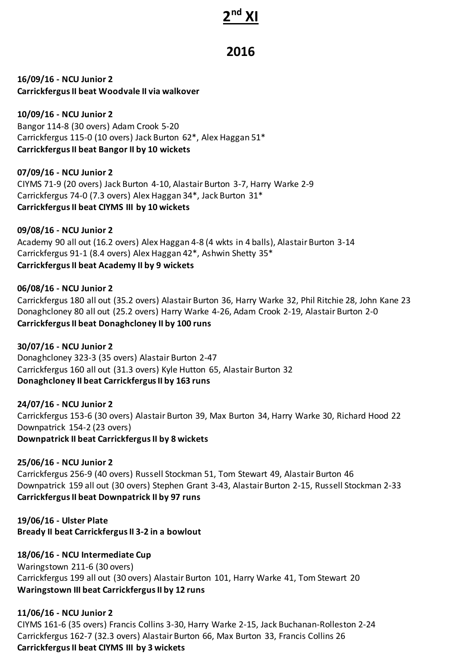# **2 nd XI**

## **2016**

**16/09/16 - NCU Junior 2 Carrickfergus II beat Woodvale II via walkover**

**10/09/16 - NCU Junior 2** Bangor 114-8 (30 overs) Adam Crook 5-20 Carrickfergus 115-0 (10 overs) Jack Burton 62\*, Alex Haggan 51\* **Carrickfergus II beat Bangor II by 10 wickets**

**07/09/16 - NCU Junior 2** CIYMS 71-9 (20 overs) Jack Burton 4-10, Alastair Burton 3-7, Harry Warke 2-9 Carrickfergus 74-0 (7.3 overs) Alex Haggan 34\*, Jack Burton 31\* **Carrickfergus II beat CIYMS III by 10 wickets**

**09/08/16 - NCU Junior 2** Academy 90 all out (16.2 overs) Alex Haggan 4-8 (4 wkts in 4 balls), Alastair Burton 3-14 Carrickfergus 91-1 (8.4 overs) Alex Haggan 42\*, Ashwin Shetty 35\* **Carrickfergus II beat Academy II by 9 wickets**

**06/08/16 - NCU Junior 2** Carrickfergus 180 all out (35.2 overs) Alastair Burton 36, Harry Warke 32, Phil Ritchie 28, John Kane 23 Donaghcloney 80 all out (25.2 overs) Harry Warke 4-26, Adam Crook 2-19, Alastair Burton 2-0 **Carrickfergus II beat Donaghcloney II by 100 runs**

**30/07/16 - NCU Junior 2** Donaghcloney 323-3 (35 overs) Alastair Burton 2-47 Carrickfergus 160 all out (31.3 overs) Kyle Hutton 65, Alastair Burton 32 **Donaghcloney II beat Carrickfergus II by 163 runs**

**24/07/16 - NCU Junior 2** Carrickfergus 153-6 (30 overs) Alastair Burton 39, Max Burton 34, Harry Warke 30, Richard Hood 22 Downpatrick 154-2 (23 overs) **Downpatrick II beat Carrickfergus II by 8 wickets**

**25/06/16 - NCU Junior 2** Carrickfergus 256-9 (40 overs) Russell Stockman 51, Tom Stewart 49, Alastair Burton 46 Downpatrick 159 all out (30 overs) Stephen Grant 3-43, Alastair Burton 2-15, Russell Stockman 2-33 **Carrickfergus II beat Downpatrick II by 97 runs**

**19/06/16 - Ulster Plate Bready II beat Carrickfergus II 3-2 in a bowlout**

**18/06/16 - NCU Intermediate Cup** Waringstown 211-6 (30 overs) Carrickfergus 199 all out (30 overs) Alastair Burton 101, Harry Warke 41, Tom Stewart 20 **Waringstown III beat Carrickfergus II by 12 runs**

**11/06/16 - NCU Junior 2** CIYMS 161-6 (35 overs) Francis Collins 3-30, Harry Warke 2-15, Jack Buchanan-Rolleston 2-24 Carrickfergus 162-7 (32.3 overs) Alastair Burton 66, Max Burton 33, Francis Collins 26 **Carrickfergus II beat CIYMS III by 3 wickets**